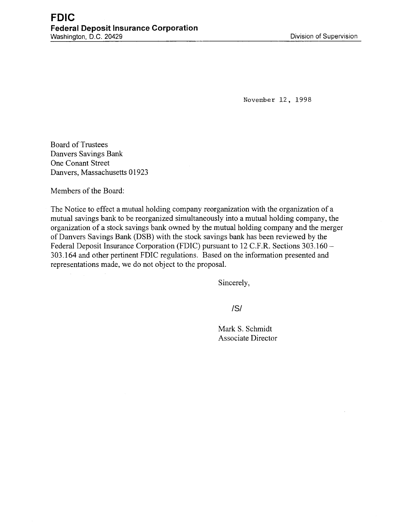November 12, 1998

Board of Trustees Danvers Savings Bank One Conant Street Danvers, Massachusetts 01923

Members of the Board:

The Notice to effect a mutual holding company reorganization with the organization of a mutual savings bank to be reorganized simultaneously into a mutual holding company, the organization of a stock savings bank owned by the mutual holding company and the merger of Danvers Savings Bank (DSB) with the stock savings bank has been reviewed by the Federal Deposit Insurance Corporation (FDIC) pursuant to 12 C.F.R. Sections 303.160 -303.164 and other pertinent FDIC regulations. Based on the information presented and representations made, we do not object to the proposal.

Sincerely,

/S/

Mark S. Schmidt Associate Director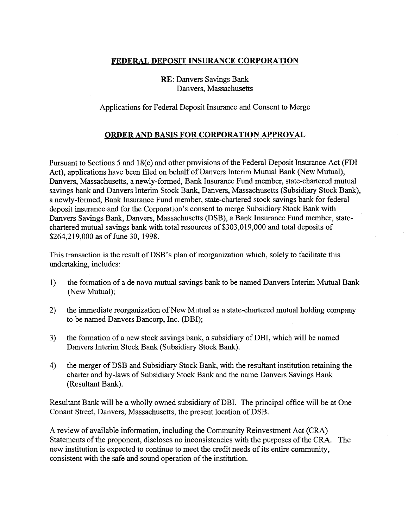## **FEDERAL DEPOSIT INSURANCE CORPORATION**

**RE:** Danvers Savings Bank Danvers, Massachusetts

Applications for Federal Deposit Insurance and Consent to Merge

## **ORDER AND BASIS FOR CORPORATION APPROVAL**

Pursuant to Sections *5* and 18(c) and other provisions of the Federal Deposit Insurance Act (FDI Act), applications have been filed on behalf of Danvers Interim Mutual Bank (New Mutual), Danvers, Massachusetts, a newly-formed, Bank Insurance Fund member, state-chartered mutual savings bank and Danvers Interim Stock Bank, Danvers, Massachusetts (Subsidiary Stock Bank), a newly-formed, Bank Insurance Fund member, state-chartered stock savings bank for federal deposit insurance and for the Corporation's consent to merge Subsidiary Stock Bank with Danvers Savings Bank, Danvers, Massachusetts (DSB), a Bank Insurance Fund member, statechartered mutual savings bank with total resources of \$303,019,000 and total deposits of \$264,219,000 as of June 30, 1998.

This transaction is the result of DSB' s plan of reorganization which, solely to facilitate this undertaking, includes:

- 1) the formation of a de novo mutual savings bank to be named Danvers Interim Mutual Bank (New Mutual);
- 2) the immediate reorganization of New Mutual as a state-chartered mutual holding company to be named Danvers Bancorp, Inc. (DBI);
- 3) the formation of a new stock savings bank, a subsidiary of DBI, which will be named Danvers Interim Stock Bank (Subsidiary Stock Bank).
- 4) the merger of DSB and Subsidiary Stock Bank, with the resultant institution retaining the charter and by-laws of Subsidiary Stock Bank and the name Danvers Savings Bank (Resultant Bank).

Resultant Bank will be a wholly owned subsidiary of DBI. The principal office will be at One Conant Street, Danvers, Massachusetts, the present location of DSB.

A review of available information, including the Community Reinvestment Act (CRA) Statements of the proponent, discloses no inconsistencies with the purposes of the CRA. The new institution is expected to continue to meet the credit needs of its entire community, consistent with the safe and sound operation of the institution.